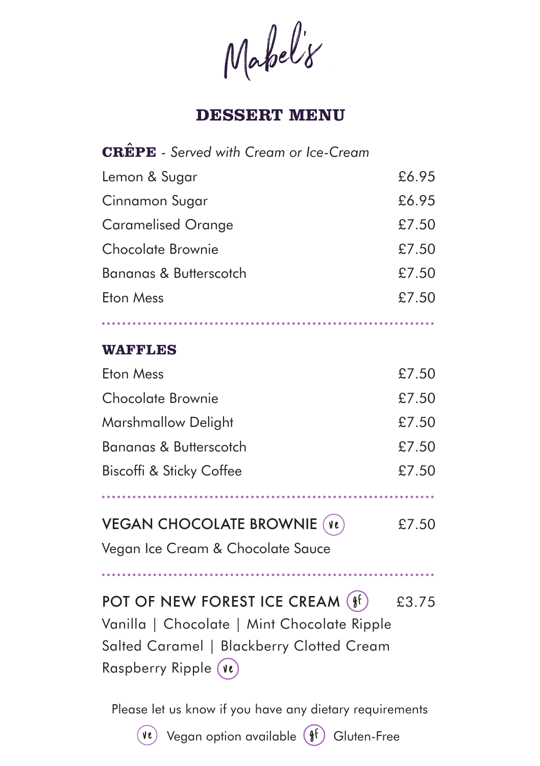Mabel'8

## **DESSERT MENU**

| <b>CREPE</b> - Served with Cream or Ice-Cream                                                                                                                    |       |
|------------------------------------------------------------------------------------------------------------------------------------------------------------------|-------|
| Lemon & Sugar                                                                                                                                                    | £6.95 |
| Cinnamon Sugar                                                                                                                                                   | £6.95 |
| <b>Caramelised Orange</b>                                                                                                                                        | £7.50 |
| Chocolate Brownie                                                                                                                                                | £7.50 |
| Bananas & Butterscotch                                                                                                                                           | £7.50 |
| <b>Eton Mess</b>                                                                                                                                                 | £7.50 |
|                                                                                                                                                                  |       |
| <b>WAFFLES</b>                                                                                                                                                   |       |
| <b>Eton Mess</b>                                                                                                                                                 | £7.50 |
| Chocolate Brownie                                                                                                                                                | £7.50 |
| Marshmallow Delight                                                                                                                                              | £7.50 |
| Bananas & Butterscotch                                                                                                                                           | £7.50 |
| Biscoffi & Sticky Coffee                                                                                                                                         | £7.50 |
|                                                                                                                                                                  |       |
| <b>VEGAN CHOCOLATE BROWNIE (Ve)</b>                                                                                                                              | £7.50 |
| Vegan Ice Cream & Chocolate Sauce                                                                                                                                |       |
|                                                                                                                                                                  |       |
| POT OF NEW FOREST ICE CREAM $(\frac{6}{3}f)$<br>Vanilla   Chocolate   Mint Chocolate Ripple<br>Salted Caramel   Blackberry Clotted Cream<br>Raspberry Ripple (Ve | £3.75 |

Please let us know if you have any dietary requirements

 $\widehat{P}$  Vegan option available  $\widehat{P}$  Gluten-Free